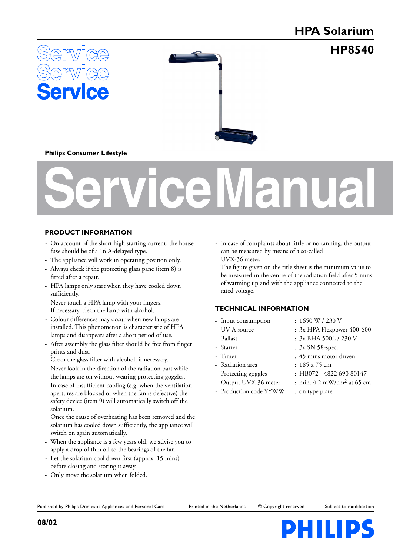# **HPA Solarium**

**HP8540**





# **Philips Consumer Lifestyle**

# **Service Manual**

# **PRODUCT INFORMATION**

- On account of the short high starting current, the house fuse should be of a 16 A-delayed type.
- The appliance will work in operating position only.
- Always check if the protecting glass pane (item 8) is fitted after a repair.
- HPA lamps only start when they have cooled down sufficiently.
- Never touch a HPA lamp with your fingers. If necessary, clean the lamp with alcohol.
- Colour differences may occur when new lamps are installed. This phenomenon is characteristic of HPA lamps and disappears after a short period of use.
- After assembly the glass filter should be free from finger prints and dust.

Clean the glass filter with alcohol, if necessary.

- Never look in the direction of the radiation part while the lamps are on without wearing protecting goggles.
- In case of insufficient cooling (e.g. when the ventilation apertures are blocked or when the fan is defective) the safety device (item 9) will automatically switch off the solarium.

Once the cause of overheating has been removed and the solarium has cooled down sufficiently, the appliance will switch on again automatically.

- When the appliance is a few years old, we advise you to apply a drop of thin oil to the bearings of the fan.
- Let the solarium cool down first (approx. 15 mins) before closing and storing it away.
- Only move the solarium when folded.

- In case of complaints about little or no tanning, the output can be measured by means of a so-called UVX-36 meter.

The figure given on the title sheet is the minimum value to be measured in the centre of the radiation field after 5 mins of warming up and with the appliance connected to the rated voltage.

# **TECHNICAL INFORMATION**

- 
- 
- 
- 
- 
- Radiation area : 185 x 75 cm
- 
- 
- Production code YYWW : on type plate
- Input consumption : 1650 W / 230 V
- UV-A source :  $3x$  HPA Flexpower 400-600
- Ballast : 3x BHA 500L / 230 V
- Starter : 3x SN 58-spec.
- Timer : 45 mins motor driven
	-
- Protecting goggles : HB072 4822 690 80147
	- Output UVX-36 meter : min. 4.2 mW/cm<sup>2</sup> at 65 cm
		-

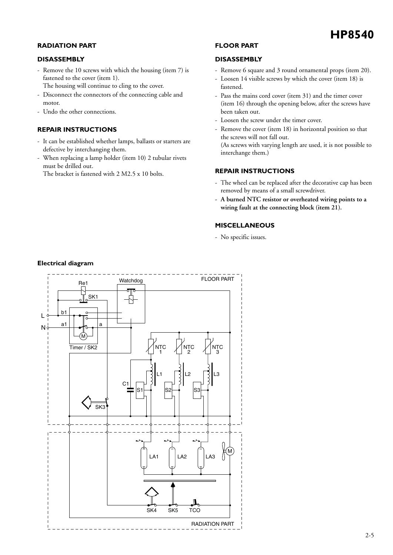#### **RADIATION PART**

#### **DISASSEMBLY**

- Remove the 10 screws with which the housing (item 7) is fastened to the cover (item 1).
	- The housing will continue to cling to the cover.
- Disconnect the connectors of the connecting cable and motor.
- Undo the other connections.

# **REPAIR INSTRUCTIONS**

- It can be established whether lamps, ballasts or starters are defective by interchanging them.
- When replacing a lamp holder (item 10) 2 tubular rivets must be drilled out.
	- The bracket is fastened with 2 M2.5 x 10 bolts.

#### **FLOOR PART**

#### **DISASSEMBLY**

- Remove 6 square and 3 round ornamental props (item 20).
- Loosen 14 visible screws by which the cover (item 18) is fastened.
- Pass the mains cord cover (item 31) and the timer cover (item 16) through the opening below, after the screws have been taken out.
- Loosen the screw under the timer cover.
- Remove the cover (item 18) in horizontal position so that the screws will not fall out. (As screws with varying length are used, it is not possible to interchange them.)

# **REPAIR INSTRUCTIONS**

- The wheel can be replaced after the decorative cap has been removed by means of a small screwdriver.
- **A burned NTC resistor or overheated wiring points to a wiring fault at the connecting block (item 21).**

#### **MISCELLANEOUS**

- No specific issues.



# **Electrical diagram**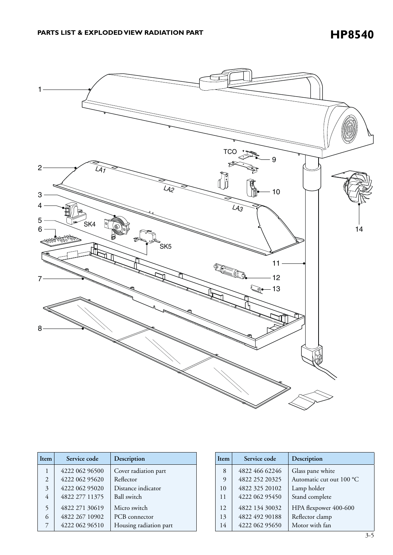**HP8540**



| Item           | Service code   | Description            |
|----------------|----------------|------------------------|
| 1              | 4222 062 96500 | Cover radiation part   |
| $\overline{2}$ | 4222 062 95620 | Reflector              |
| 3              | 4222 062 95020 | Distance indicator     |
| $\overline{4}$ | 4822 277 11375 | Ball switch            |
| 5              | 4822 271 30619 | Micro switch           |
| 6              | 4822 267 10902 | PCB connector          |
| 7              | 4222 062 96510 | Housing radiation part |

| Item | Service code   | Description              |
|------|----------------|--------------------------|
| 8    | 4822 466 62246 | Glass pane white         |
| 9    | 4822 252 20325 | Automatic cut out 100 °C |
| 10   | 4822 325 20102 | Lamp holder              |
| 11   | 4222 062 95450 | Stand complete           |
| 12   | 4822 134 30032 | HPA flexpower 400-600    |
| 13   | 4822 492 90188 | Reflector clamp          |
| 14   | 4222 062 95650 | Motor with fan           |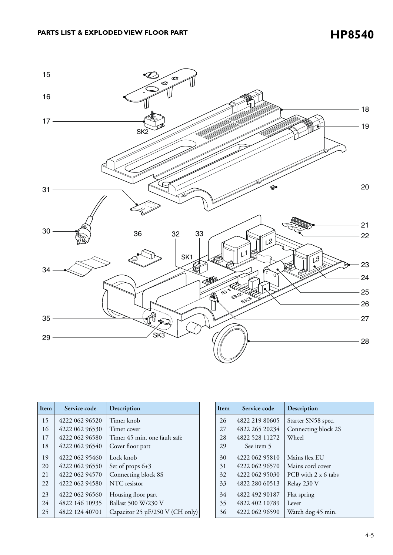

| Item | Service code   | Description                     |
|------|----------------|---------------------------------|
| 15   | 4222 062 96520 | Timer knob                      |
| 16   | 4222 062 96530 | Timer cover                     |
| 17   | 4222 062 96580 | Timer 45 min. one fault safe    |
| 18   | 4222 062 96540 | Cover floor part                |
| 19   | 4222 062 95460 | Lock knob                       |
| 20   | 4222 062 96550 | Set of props $6+3$              |
| 21   | 4222 062 94570 | Connecting block 8S             |
| 22.  | 4222 062 94580 | NTC resistor                    |
| 23   | 4222 062 96560 | Housing floor part              |
| 24   | 4822 146 10935 | Ballast 500 W/230 V             |
| 25   | 4822 124 40701 | Capacitor 25 µF/250 V (CH only) |

| Item | Service code   | Description         |
|------|----------------|---------------------|
| 26   | 4822 219 80605 | Starter SN58 spec.  |
| 27   | 4822 265 20234 | Connecting block 2S |
| 28   | 4822 528 11272 | Wheel               |
| 29   | See item 5     |                     |
| 30   | 4222 062 95810 | Mains flex EU       |
| 31   | 4222 062 96570 | Mains cord cover    |
| 32   | 4222 062 95030 | PCB with 2 x 6 tabs |
| 33   | 4822 280 60513 | Relay 230 V         |
| 34   | 4822 492 90187 | Flat spring         |
| 35   | 4822 402 10789 | Lever               |
| 36   | 4222 062 96590 | Watch dog 45 min.   |